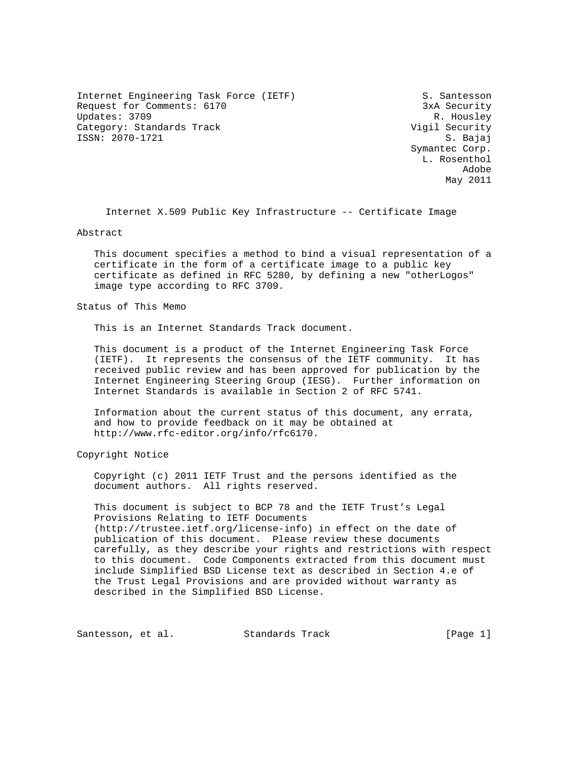Internet Engineering Task Force (IETF) S. Santesson Request for Comments: 6170 3xA Security Updates: 3709 R. Housley Category: Standards Track and the Category: Standards Track and Track Category: Standards Track ISSN: 2070-1721 S. Bajaj

 Symantec Corp. L. Rosenthol and the control of the control of the control of the control of the control of the control of the control of the control of the control of the control of the control of the control of the control of the control of the cont May 2011

Internet X.509 Public Key Infrastructure -- Certificate Image

Abstract

 This document specifies a method to bind a visual representation of a certificate in the form of a certificate image to a public key certificate as defined in RFC 5280, by defining a new "otherLogos" image type according to RFC 3709.

Status of This Memo

This is an Internet Standards Track document.

 This document is a product of the Internet Engineering Task Force (IETF). It represents the consensus of the IETF community. It has received public review and has been approved for publication by the Internet Engineering Steering Group (IESG). Further information on Internet Standards is available in Section 2 of RFC 5741.

 Information about the current status of this document, any errata, and how to provide feedback on it may be obtained at http://www.rfc-editor.org/info/rfc6170.

Copyright Notice

 Copyright (c) 2011 IETF Trust and the persons identified as the document authors. All rights reserved.

 This document is subject to BCP 78 and the IETF Trust's Legal Provisions Relating to IETF Documents (http://trustee.ietf.org/license-info) in effect on the date of publication of this document. Please review these documents carefully, as they describe your rights and restrictions with respect to this document. Code Components extracted from this document must include Simplified BSD License text as described in Section 4.e of the Trust Legal Provisions and are provided without warranty as described in the Simplified BSD License.

Santesson, et al. Standards Track [Page 1]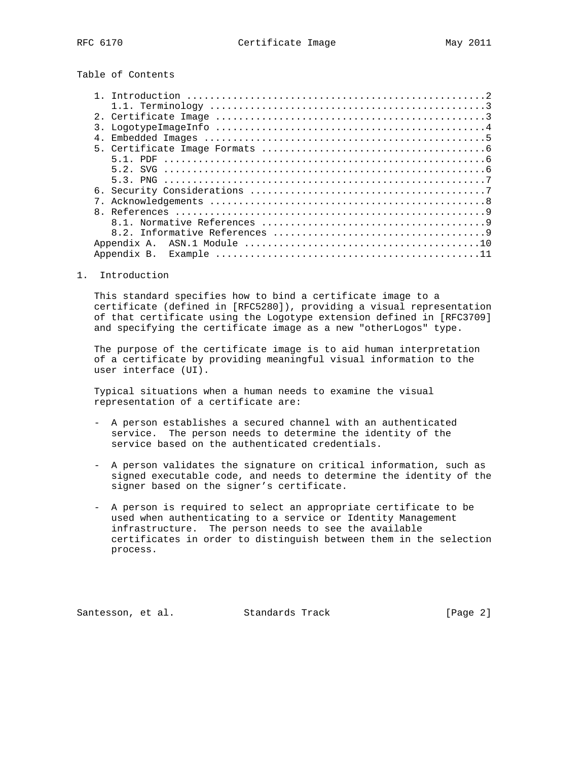Table of Contents

| $2^{\circ}$  |             |
|--------------|-------------|
|              |             |
| 4.           |             |
|              |             |
|              |             |
|              |             |
|              |             |
|              |             |
|              |             |
| $\mathsf{R}$ |             |
|              |             |
|              |             |
|              | Appendix A. |
|              |             |
|              |             |

1. Introduction

 This standard specifies how to bind a certificate image to a certificate (defined in [RFC5280]), providing a visual representation of that certificate using the Logotype extension defined in [RFC3709] and specifying the certificate image as a new "otherLogos" type.

 The purpose of the certificate image is to aid human interpretation of a certificate by providing meaningful visual information to the user interface (UI).

 Typical situations when a human needs to examine the visual representation of a certificate are:

- A person establishes a secured channel with an authenticated service. The person needs to determine the identity of the service based on the authenticated credentials.
- A person validates the signature on critical information, such as signed executable code, and needs to determine the identity of the signer based on the signer's certificate.
- A person is required to select an appropriate certificate to be used when authenticating to a service or Identity Management infrastructure. The person needs to see the available certificates in order to distinguish between them in the selection process.

Santesson, et al. Standards Track [Page 2]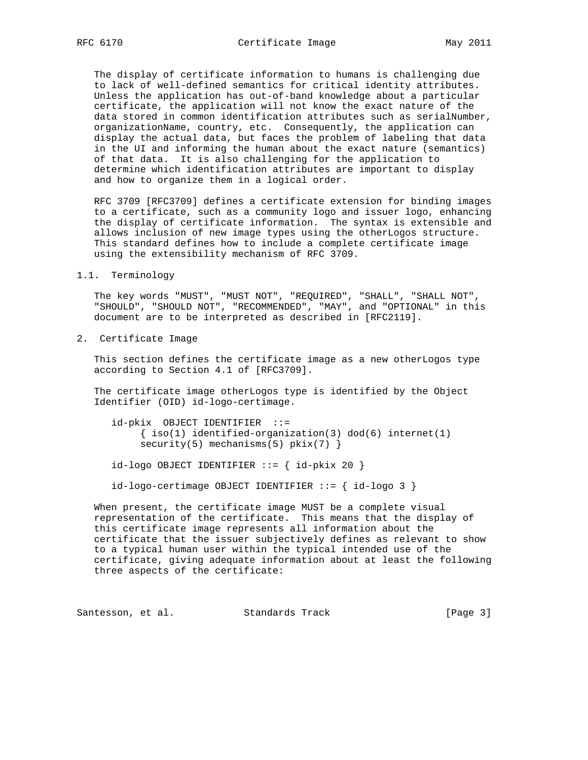The display of certificate information to humans is challenging due to lack of well-defined semantics for critical identity attributes. Unless the application has out-of-band knowledge about a particular certificate, the application will not know the exact nature of the data stored in common identification attributes such as serialNumber, organizationName, country, etc. Consequently, the application can display the actual data, but faces the problem of labeling that data in the UI and informing the human about the exact nature (semantics) of that data. It is also challenging for the application to determine which identification attributes are important to display and how to organize them in a logical order.

 RFC 3709 [RFC3709] defines a certificate extension for binding images to a certificate, such as a community logo and issuer logo, enhancing the display of certificate information. The syntax is extensible and allows inclusion of new image types using the otherLogos structure. This standard defines how to include a complete certificate image using the extensibility mechanism of RFC 3709.

1.1. Terminology

 The key words "MUST", "MUST NOT", "REQUIRED", "SHALL", "SHALL NOT", "SHOULD", "SHOULD NOT", "RECOMMENDED", "MAY", and "OPTIONAL" in this document are to be interpreted as described in [RFC2119].

2. Certificate Image

 This section defines the certificate image as a new otherLogos type according to Section 4.1 of [RFC3709].

 The certificate image otherLogos type is identified by the Object Identifier (OID) id-logo-certimage.

 id-pkix OBJECT IDENTIFIER ::=  $\{ iso(1) *identified-organization(3)  $dod(6) *internet(1)*$*$  $security(5)$  mechanisms(5)  $pkix(7)$ }

 $id-logo$  OBJECT IDENTIFIER  $::= \{ id-pkix 20 \}$ 

id-logo-certimage OBJECT IDENTIFIER ::= { id-logo 3 }

 When present, the certificate image MUST be a complete visual representation of the certificate. This means that the display of this certificate image represents all information about the certificate that the issuer subjectively defines as relevant to show to a typical human user within the typical intended use of the certificate, giving adequate information about at least the following three aspects of the certificate:

Santesson, et al. Standards Track [Page 3]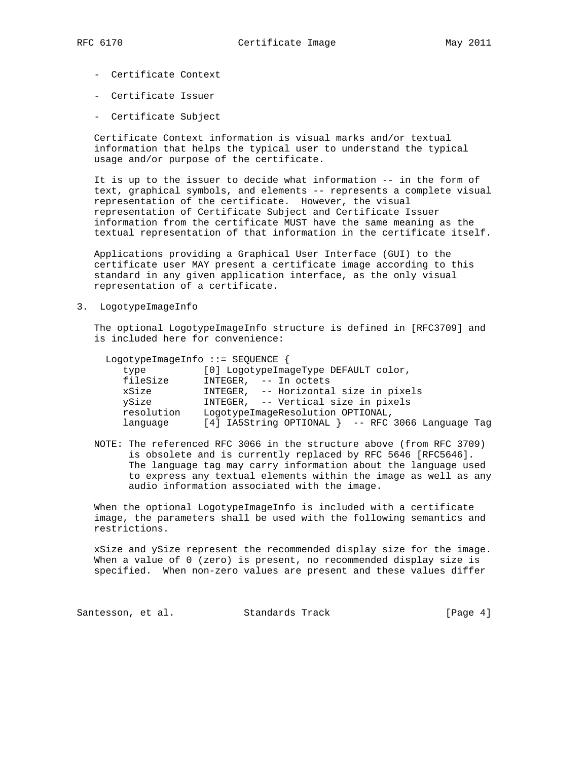- Certificate Context
- Certificate Issuer
- Certificate Subject

 Certificate Context information is visual marks and/or textual information that helps the typical user to understand the typical usage and/or purpose of the certificate.

 It is up to the issuer to decide what information -- in the form of text, graphical symbols, and elements -- represents a complete visual representation of the certificate. However, the visual representation of Certificate Subject and Certificate Issuer information from the certificate MUST have the same meaning as the textual representation of that information in the certificate itself.

 Applications providing a Graphical User Interface (GUI) to the certificate user MAY present a certificate image according to this standard in any given application interface, as the only visual representation of a certificate.

3. LogotypeImageInfo

 The optional LogotypeImageInfo structure is defined in [RFC3709] and is included here for convenience:

|            | LogotypeImageInfo ::= SEQUENCE {                  |
|------------|---------------------------------------------------|
| type       | [0] LogotypeImageType DEFAULT color,              |
| fileSize   | INTEGER, -- In octets                             |
| xSize      | INTEGER, -- Horizontal size in pixels             |
| ySize      | INTEGER, -- Vertical size in pixels               |
| resolution | LogotypeImageResolution OPTIONAL,                 |
| lanquaqe   | [4] IA5String OPTIONAL } -- RFC 3066 Language Tag |

 NOTE: The referenced RFC 3066 in the structure above (from RFC 3709) is obsolete and is currently replaced by RFC 5646 [RFC5646]. The language tag may carry information about the language used to express any textual elements within the image as well as any audio information associated with the image.

 When the optional LogotypeImageInfo is included with a certificate image, the parameters shall be used with the following semantics and restrictions.

 xSize and ySize represent the recommended display size for the image. When a value of 0 (zero) is present, no recommended display size is specified. When non-zero values are present and these values differ

Santesson, et al. Standards Track [Page 4]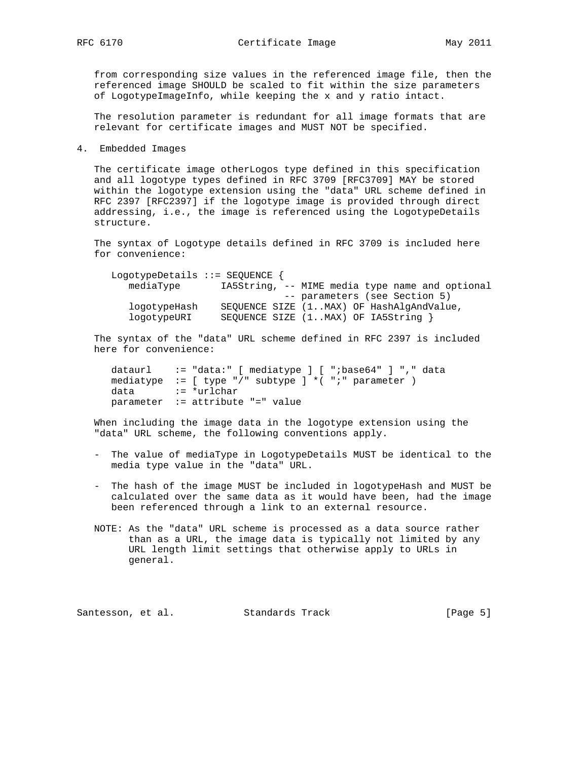from corresponding size values in the referenced image file, then the referenced image SHOULD be scaled to fit within the size parameters of LogotypeImageInfo, while keeping the x and y ratio intact.

 The resolution parameter is redundant for all image formats that are relevant for certificate images and MUST NOT be specified.

4. Embedded Images

 The certificate image otherLogos type defined in this specification and all logotype types defined in RFC 3709 [RFC3709] MAY be stored within the logotype extension using the "data" URL scheme defined in RFC 2397 [RFC2397] if the logotype image is provided through direct addressing, i.e., the image is referenced using the LogotypeDetails structure.

 The syntax of Logotype details defined in RFC 3709 is included here for convenience:

 LogotypeDetails ::= SEQUENCE { mediaType IA5String, -- MIME media type name and optional -- parameters (see Section 5) logotypeHash SEQUENCE SIZE (1..MAX) OF HashAlgAndValue, logotypeURI SEQUENCE SIZE (1..MAX) OF IA5String }

 The syntax of the "data" URL scheme defined in RFC 2397 is included here for convenience:

 dataurl := "data:" [ mediatype ] [ ";base64" ] "," data mediatype  $:=$  [ type "/" subtype ]  $*($  ";" parameter ) data := \*urlchar parameter := attribute "=" value

 When including the image data in the logotype extension using the "data" URL scheme, the following conventions apply.

- The value of mediaType in LogotypeDetails MUST be identical to the media type value in the "data" URL.
- The hash of the image MUST be included in logotypeHash and MUST be calculated over the same data as it would have been, had the image been referenced through a link to an external resource.
- NOTE: As the "data" URL scheme is processed as a data source rather than as a URL, the image data is typically not limited by any URL length limit settings that otherwise apply to URLs in general.

Santesson, et al. Standards Track [Page 5]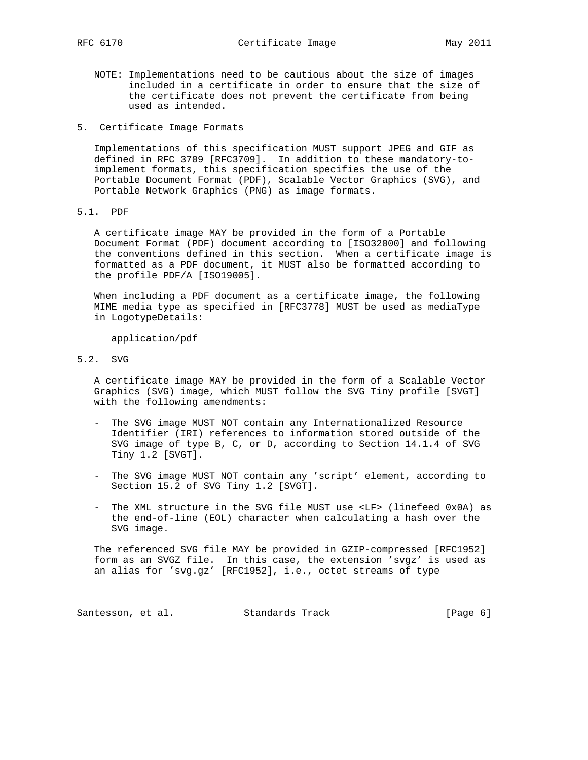- NOTE: Implementations need to be cautious about the size of images included in a certificate in order to ensure that the size of the certificate does not prevent the certificate from being used as intended.
- 5. Certificate Image Formats

 Implementations of this specification MUST support JPEG and GIF as defined in RFC 3709 [RFC3709]. In addition to these mandatory-to implement formats, this specification specifies the use of the Portable Document Format (PDF), Scalable Vector Graphics (SVG), and Portable Network Graphics (PNG) as image formats.

5.1. PDF

 A certificate image MAY be provided in the form of a Portable Document Format (PDF) document according to [ISO32000] and following the conventions defined in this section. When a certificate image is formatted as a PDF document, it MUST also be formatted according to the profile PDF/A [ISO19005].

 When including a PDF document as a certificate image, the following MIME media type as specified in [RFC3778] MUST be used as mediaType in LogotypeDetails:

application/pdf

5.2. SVG

 A certificate image MAY be provided in the form of a Scalable Vector Graphics (SVG) image, which MUST follow the SVG Tiny profile [SVGT] with the following amendments:

- The SVG image MUST NOT contain any Internationalized Resource Identifier (IRI) references to information stored outside of the SVG image of type B, C, or D, according to Section 14.1.4 of SVG Tiny 1.2 [SVGT].
- The SVG image MUST NOT contain any 'script' element, according to Section 15.2 of SVG Tiny 1.2 [SVGT].
- The XML structure in the SVG file MUST use <LF> (linefeed 0x0A) as the end-of-line (EOL) character when calculating a hash over the SVG image.

 The referenced SVG file MAY be provided in GZIP-compressed [RFC1952] form as an SVGZ file. In this case, the extension 'svgz' is used as an alias for 'svg.gz' [RFC1952], i.e., octet streams of type

Santesson, et al. Standards Track [Page 6]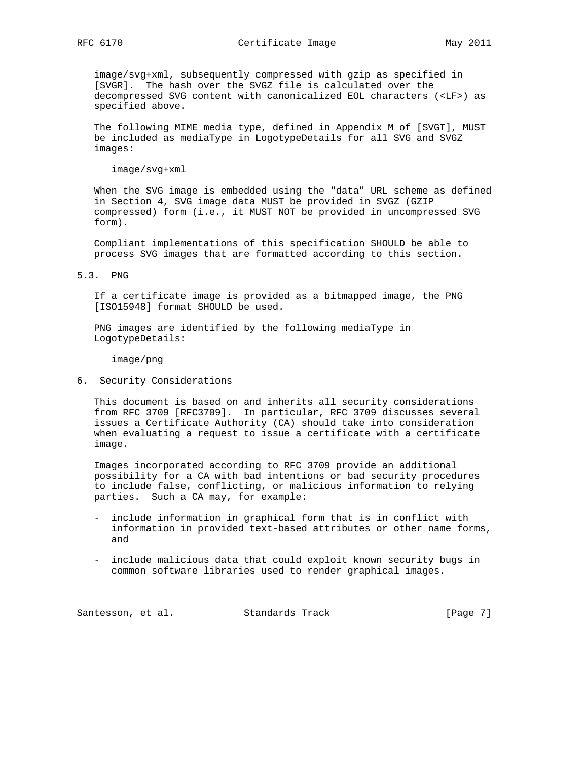image/svg+xml, subsequently compressed with gzip as specified in [SVGR]. The hash over the SVGZ file is calculated over the decompressed SVG content with canonicalized EOL characters (<LF>) as specified above.

 The following MIME media type, defined in Appendix M of [SVGT], MUST be included as mediaType in LogotypeDetails for all SVG and SVGZ images:

image/svg+xml

 When the SVG image is embedded using the "data" URL scheme as defined in Section 4, SVG image data MUST be provided in SVGZ (GZIP compressed) form (i.e., it MUST NOT be provided in uncompressed SVG form).

 Compliant implementations of this specification SHOULD be able to process SVG images that are formatted according to this section.

## 5.3. PNG

 If a certificate image is provided as a bitmapped image, the PNG [ISO15948] format SHOULD be used.

 PNG images are identified by the following mediaType in LogotypeDetails:

image/png

6. Security Considerations

 This document is based on and inherits all security considerations from RFC 3709 [RFC3709]. In particular, RFC 3709 discusses several issues a Certificate Authority (CA) should take into consideration when evaluating a request to issue a certificate with a certificate image.

 Images incorporated according to RFC 3709 provide an additional possibility for a CA with bad intentions or bad security procedures to include false, conflicting, or malicious information to relying parties. Such a CA may, for example:

- include information in graphical form that is in conflict with information in provided text-based attributes or other name forms, and
- include malicious data that could exploit known security bugs in common software libraries used to render graphical images.

Santesson, et al. Standards Track [Page 7]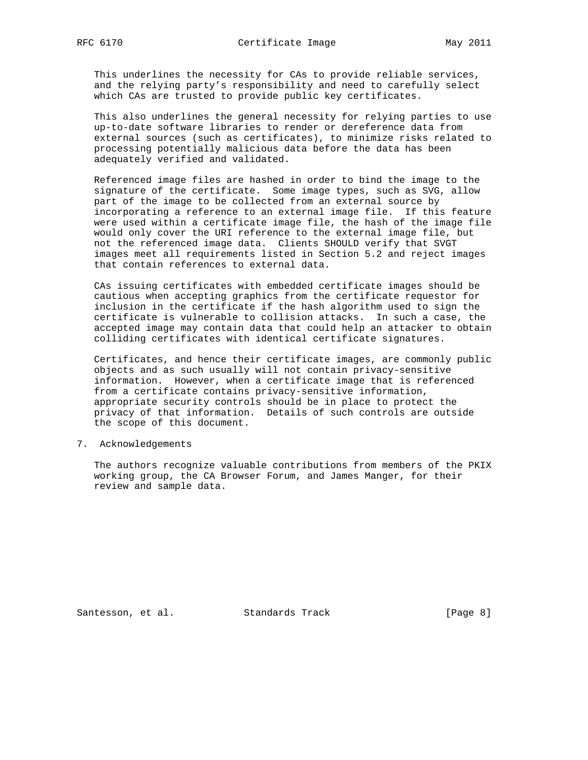This underlines the necessity for CAs to provide reliable services, and the relying party's responsibility and need to carefully select which CAs are trusted to provide public key certificates.

 This also underlines the general necessity for relying parties to use up-to-date software libraries to render or dereference data from external sources (such as certificates), to minimize risks related to processing potentially malicious data before the data has been adequately verified and validated.

 Referenced image files are hashed in order to bind the image to the signature of the certificate. Some image types, such as SVG, allow part of the image to be collected from an external source by incorporating a reference to an external image file. If this feature were used within a certificate image file, the hash of the image file would only cover the URI reference to the external image file, but not the referenced image data. Clients SHOULD verify that SVGT images meet all requirements listed in Section 5.2 and reject images that contain references to external data.

 CAs issuing certificates with embedded certificate images should be cautious when accepting graphics from the certificate requestor for inclusion in the certificate if the hash algorithm used to sign the certificate is vulnerable to collision attacks. In such a case, the accepted image may contain data that could help an attacker to obtain colliding certificates with identical certificate signatures.

 Certificates, and hence their certificate images, are commonly public objects and as such usually will not contain privacy-sensitive information. However, when a certificate image that is referenced from a certificate contains privacy-sensitive information, appropriate security controls should be in place to protect the privacy of that information. Details of such controls are outside the scope of this document.

7. Acknowledgements

 The authors recognize valuable contributions from members of the PKIX working group, the CA Browser Forum, and James Manger, for their review and sample data.

Santesson, et al. Standards Track [Page 8]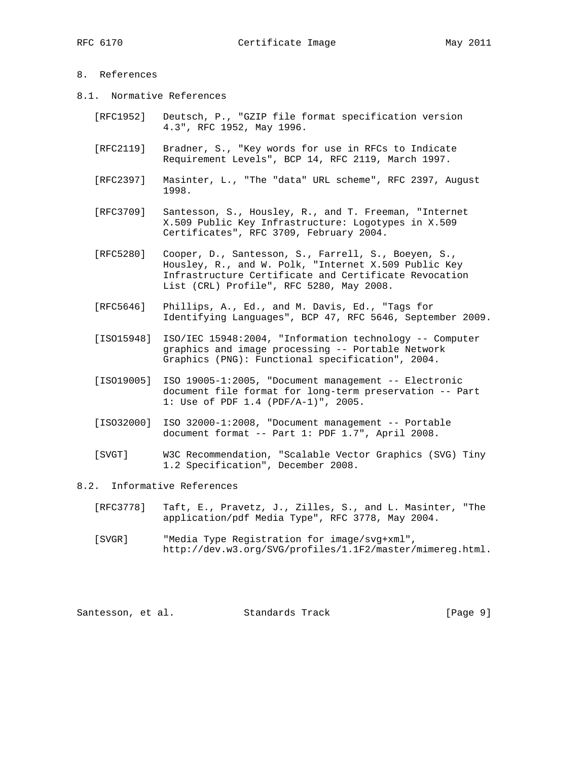## 8. References

- 8.1. Normative References
	- [RFC1952] Deutsch, P., "GZIP file format specification version 4.3", RFC 1952, May 1996.
	- [RFC2119] Bradner, S., "Key words for use in RFCs to Indicate Requirement Levels", BCP 14, RFC 2119, March 1997.
	- [RFC2397] Masinter, L., "The "data" URL scheme", RFC 2397, August 1998.
	- [RFC3709] Santesson, S., Housley, R., and T. Freeman, "Internet X.509 Public Key Infrastructure: Logotypes in X.509 Certificates", RFC 3709, February 2004.
	- [RFC5280] Cooper, D., Santesson, S., Farrell, S., Boeyen, S., Housley, R., and W. Polk, "Internet X.509 Public Key Infrastructure Certificate and Certificate Revocation List (CRL) Profile", RFC 5280, May 2008.
	- [RFC5646] Phillips, A., Ed., and M. Davis, Ed., "Tags for Identifying Languages", BCP 47, RFC 5646, September 2009.
	- [ISO15948] ISO/IEC 15948:2004, "Information technology -- Computer graphics and image processing -- Portable Network Graphics (PNG): Functional specification", 2004.
	- [ISO19005] ISO 19005-1:2005, "Document management -- Electronic document file format for long-term preservation -- Part 1: Use of PDF 1.4 (PDF/A-1)", 2005.
	- [ISO32000] ISO 32000-1:2008, "Document management -- Portable document format -- Part 1: PDF 1.7", April 2008.
	- [SVGT] W3C Recommendation, "Scalable Vector Graphics (SVG) Tiny 1.2 Specification", December 2008.
- 8.2. Informative References
	- [RFC3778] Taft, E., Pravetz, J., Zilles, S., and L. Masinter, "The application/pdf Media Type", RFC 3778, May 2004.
	- [SVGR] "Media Type Registration for image/svg+xml", http://dev.w3.org/SVG/profiles/1.1F2/master/mimereg.html.

Santesson, et al. Standards Track [Page 9]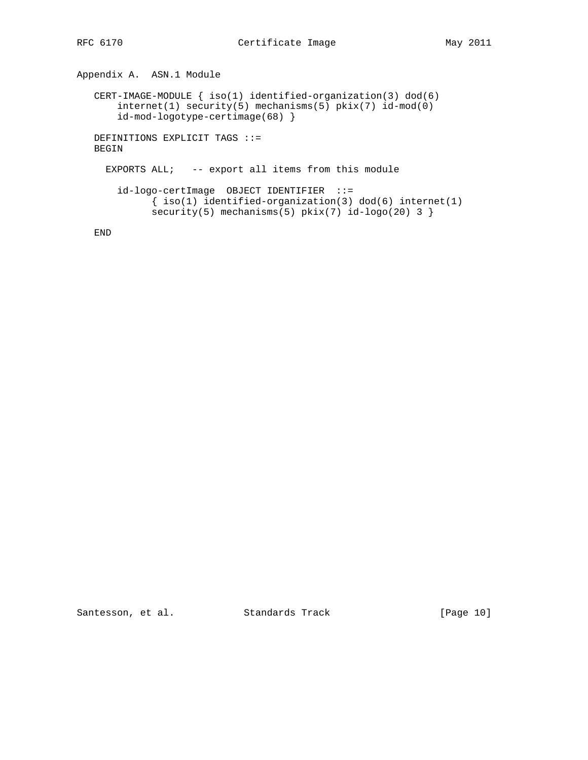Appendix A. ASN.1 Module CERT-IMAGE-MODULE { iso(1) identified-organization(3) dod(6) internet(1) security(5) mechanisms(5) pkix(7) id-mod(0) id-mod-logotype-certimage(68) } DEFINITIONS EXPLICIT TAGS ::= BEGIN EXPORTS ALL; -- export all items from this module id-logo-certImage OBJECT IDENTIFIER ::=  $\{ iso(1) *identified-organization(3)  $dod(6) *internet(1)*$*$ security(5) mechanisms(5) pkix(7) id-logo(20) 3 }

END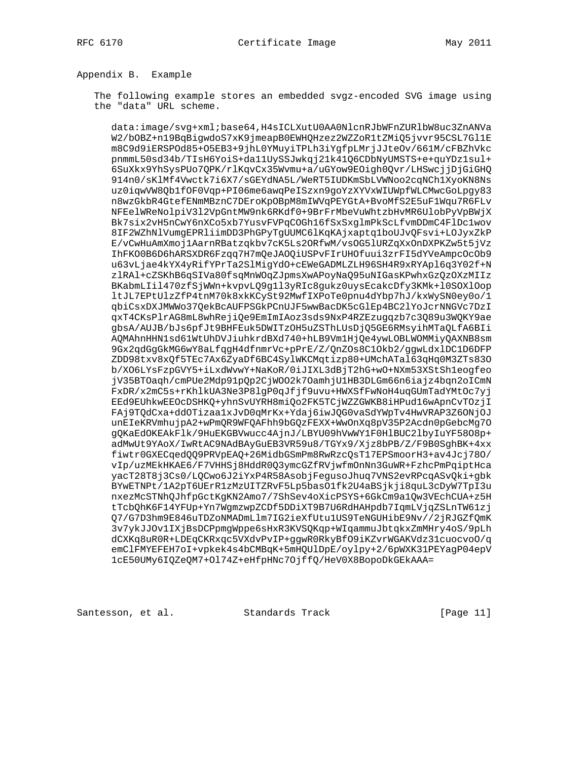## Appendix B. Example

 The following example stores an embedded svgz-encoded SVG image using the "data" URL scheme.

 data:image/svg+xml;base64,H4sICLXutU0AA0NlcnRJbWFnZURlbW8uc3ZnANVa W2/bOBZ+n19BqBigwdoS7xK9jmeapB0EWHQHzez2WZZoR1tZMiQ5jvvr95CSL7Gl1E m8C9d9iERSPOd85+O5EB3+9jhL0YMuyiTPLh3iYgfpLMrjJJteOv/661M/cFBZhVkc pnmmL50sd34b/TIsH6YoiS+da11UySSJwkqj21k41Q6CDbNyUMSTS+e+quYDz1sul+ 6SuXkx9YhSysPUo7QPK/rlKqvCx35Wvmu+a/uGYow9EOigh0Qvr/LHSwcjjDjGiGHQ 914n0/sKlMf4Vwctk7i6X7/sGEYdNA5L/WeRT5IUDKmSbLVWNoo2cqNCh1XyoKN8Ns uz0iqwVW8Qb1fOF0Vqp+PI06me6awqPeISzxn9goYzXYVxWIUWpfWLCMwcGoLpgy83 n8wzGkbR4GtefENmMBznC7DEroKpOBpM8mIWVqPEYGtA+BvoMfS2E5uF1Wqu7R6FLv NFEelWReNolpiV3l2VpGntMW9nk6RKdf0+9BrFrMbeVuWhtzbHvMR6UlobPyVpBWjX Bk7six2vH5nCwY6nXCo5xb7YusvFVPqCOGh16fSxSxglmPkScLfvmDDmC4FlDc1wov 8IF2WZhNlVumgEPRliimDD3PhGPyTgUUMC6lKqKAjxaptq1boUJvQFsvi+LOJyxZkP E/vCwHuAmXmoj1AarnRBatzqkbv7cK5Ls2ORfwM/vsOG5lURZqXxOnDXPKZw5t5jVz IhFKO0B6D6hARSXDR6Fzqq7H7mQeJAOQiUSPvFIrUHOfuui3zrFI5dYVeAmpcOcOb9 u63vLjae4kYX4yRifYPrTa2SlMigYdO+cEWeGADMLZLH96SH4R9xRYApl6q3Y02f+N zlRAl+cZSKhB6qSIVa80fsqMnWOqZJpmsXwAPoyNaQ95uNIGasKPwhxGzQzOXzMIIz BKabmLIil470zfSjWWn+kvpvLQ9g1l3yRIc8gukz0uysEcakcDfy3KMk+l0SOXlOop ltJL7EPtUlzZfP4tnM70k8xkKCySt92MwfIXPoTe0pnu4dYbp7hJ/kxWySN0ey0o/1 qbiCsxDXJMWWo37QekBcAUFPSGkPCnUJF5wwBacDK5cGlEp4BC2lYoJcrNNGVc7DzI qxT4CKsPlrAG8mL8whRejiQe9EmImIAoz3sds9NxP4RZEzugqzb7c3Q89u3WQKY9ae gbsA/AUJB/bJs6pfJt9BHFEuk5DWITzOH5uZSThLUsDjQ5GE6RMsyihMTaQLfA6BIi AQMAhnHHN1sd61WtUhDVJiuhkrdBXd740+hLB9Vm1HjQe4ywLOBLWOMMiyQAXNB8sm 9Gx2qdGgGkMG6wY8aLfqgH4dfnmrVc+pPrE/Z/QnZOs8C1Okb2/ggwLdxlDC1D6DFP ZDD98txv8xQf5TEc7Ax6ZyaDf6BC4SylWKCMqtizp80+UMchATal63qHq0M3ZTs83O b/XO6LYsFzpGVY5+iLxdWvwY+NaKoR/0iJIXL3dBjT2hG+wO+NXm53XStSh1eogfeo jV35BTOaqh/cmPUe2Mdp91pQp2CjWOO2k7OamhjU1HB3DLGm66n6iajz4bqn2oICmN FxDR/x2mC5s+rKhlkUA3Ne3P8lgP0qJfjf9uvu+HWXSfFwNoH4uqGUmTadYMtOc7yj EEd9EUhkwEEOcDSHKQ+yhnSvUYRH8miQo2FK5TCjWZZGWKB8iHPud16wApnCvTOzjI FAj9TQdCxa+ddOTizaa1xJvD0qMrKx+Ydaj6iwJQG0vaSdYWpTv4HwVRAP3Z6ONjOJ unEIeKRVmhujpA2+wPmQR9WFQAFhh9bGQzFEXX+WwOnXq8pV35P2Acdn0pGebcMg7O gQKaEdOKEAkFlk/9HuEKGBVwucc4AjnJ/LBYU09hVwWY1F0HlBUC2lbyIuYF58O8p+ adMwUt9YAoX/IwRtAC9NAdBAyGuEB3VR59u8/TGYx9/Xjz8bPB/Z/F9B0SghBK+4xx fiwtr0GXECqedQQ9PRVpEAQ+26MidbGSmPm8RwRzcQsT17EPSmoorH3+av4Jcj78O/ vIp/uzMEkHKAE6/F7VHHSj8HddR0Q3ymcGZfRVjwfmOnNn3GuWR+FzhcPmPqiptHca yacT28T8j3Cs0/LQCwo6J2iYxP4R58AsobjFegusoJhuq7VNS2evRPcqASvQki+gbk BYwETNPt/1A2pT6UErR1zMzUITZRvF5Lp5basO1fk2U4aBSjkji8quL3cDyW7TpI3u nxezMcSTNhQJhfpGctKgKN2Amo7/7ShSev4oXicPSYS+6GkCm9a1Qw3VEchCUA+z5H tTcbQhK6F14YFUp+Yn7WgmzwpZCDf5DDiXT9B7U6RdHAHpdb7IqmLVjqZSLnTW61zj Q7/G7D3hm9E846uTDZoNMADmLlm7IG2ieXfUtu1US9TeNGUHibE9Nv//2jRJGZfQmK 3v7ykJJOv1IXjBsDCPpmgWppe6sHxR3KVSQKqp+WIqammuJbtqkxZmMHry4oS/9pLh dCXKq8uR0R+LDEqCKRxqc5VXdvPvIP+ggwR0RkyBfO9iKZvrWGAKVdz31cuocvoO/q emClFMYEFEH7oI+vpkek4s4bCMBqK+5mHQUlDpE/oylpy+2/6pWXK31PEYagP04epV 1cE50UMy6IQZeQM7+Ol74Z+eHfpHNc7OjffQ/HeV0X8BopoDkGEkAAA=

Santesson, et al. Standards Track [Page 11]